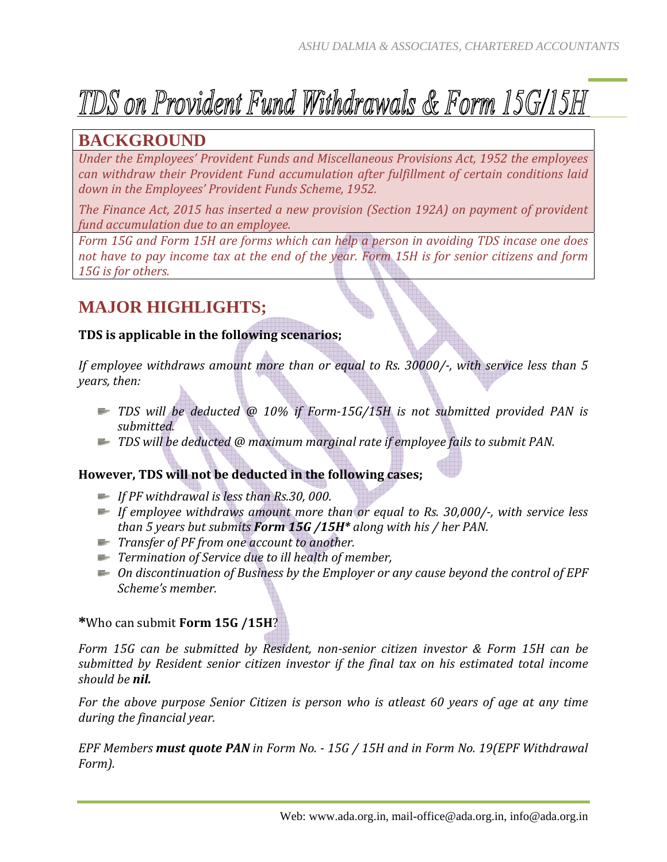# TDS on Provident Fund Withdrawals & Form 15G/15H

### **BACKGROUND**

*Under the Employees' Provident Funds and Miscellaneous Provisions Act, 1952 the employees can withdraw their Provident Fund accumulation after fulfillment of certain conditions laid down in the Employees' Provident Funds Scheme, 1952.*

*The Finance Act, 2015 has inserted a new provision (Section 192A) on payment of provident fund accumulation due to an employee.*

*Form 15G and Form 15H are forms which can help a person in avoiding TDS incase one does* not have to pay income tax at the end of the year. Form 15H is for senior citizens and form *15G is for others.*

## **MAJOR HIGHLIGHTS;**

#### **TDS is applicable in the following scenarios;**

*If employee withdraws amount more than or equal to Rs. 30000/, with service less than 5 years, then:*

- *TDS will be deducted @ 10% if Form15G/15H is not submitted provided PAN is submitted.*
- *TDS will be deducted @ maximum marginal rate if employee fails to submit PAN.*

#### **However, TDS will not be deducted in the following cases;**

- *If PF withdrawal is less than Rs.30, 000.*
- *If employee withdraws amount more than or equal to Rs. 30,000/, with service less than 5 years but submits Form 15G /15H\* along with his / her PAN.*
- *Transfer of PF from one account to another.*
- *Termination of Service due to ill health of member,*
- *On discontinuation of Business by the Employer or any cause beyond the control of EPF Scheme's member.*

#### **\***Who can submit **Form 15G /15H**?

*Form 15G can be submitted by Resident, nonsenior citizen investor & Form 15H can be submitted by Resident senior citizen investor if the final tax on his estimated total income should be nil.*

*For the above purpose Senior Citizen is person who is atleast 60 years of age at any time during the financial year.*

*EPF Members must quote PAN in Form No. 15G / 15H and in Form No. 19(EPF Withdrawal Form).*